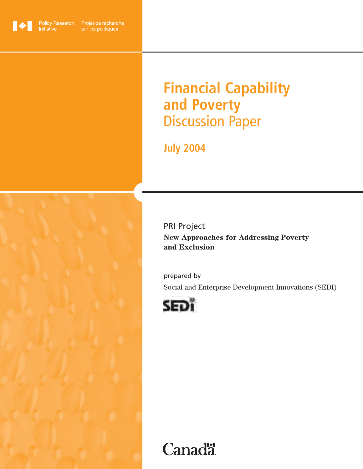

Initiative

Policy Research Projet de recherche sur les politiques

# **Financial Capability and Poverty** Discussion Paper

**July 2004**

## PRI Project

**New Approaches for Addressing Poverty and Exclusion** 

prepared by Social and Enterprise Development Innovations (SEDI)



# **Canadä**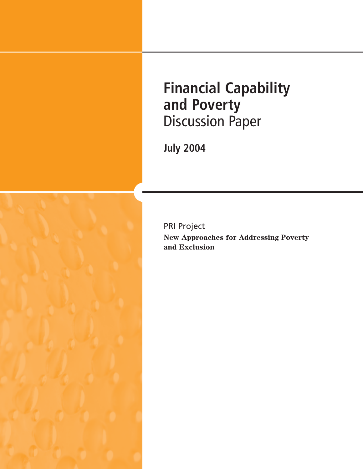**Financial Capability and Poverty** Discussion Paper

**July 2004**



**New Approaches for Addressing Poverty and Exclusion** 

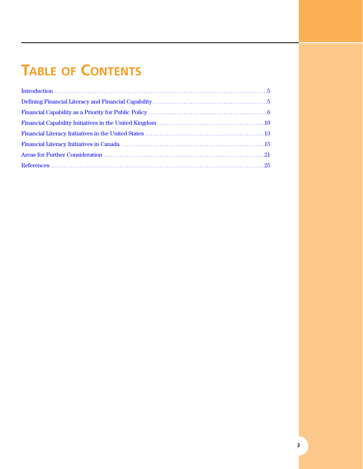# **TABLE OF CONTENTS**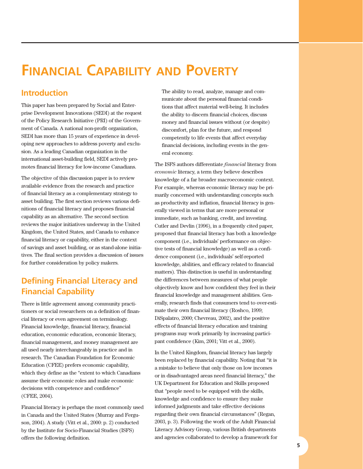## <span id="page-4-0"></span>**FINANCIAL CAPABILITY AND POVERTY**

## **Introduction**

This paper has been prepared by Social and Enterprise Development Innovations (SEDI) at the request of the Policy Research Initiative (PRI) of the Government of Canada. A national non-profit organization, SEDI has more than 15 years of experience in developing new approaches to address poverty and exclusion. As a leading Canadian organization in the international asset-building field, SEDI actively promotes financial literacy for low-income Canadians.

The objective of this discussion paper is to review available evidence from the research and practice of financial literacy as a complementary strategy to asset building. The first section reviews various definitions of financial literacy and proposes financial capability as an alternative. The second section reviews the major initiatives underway in the United Kingdom, the United States, and Canada to enhance financial literacy or capability, either in the context of savings and asset building, or as stand-alone initiatives. The final section provides a discussion of issues for further consideration by policy makers.

## **Defining Financial Literacy and Financial Capability**

There is little agreement among community practitioners or social researchers on a definition of financial literacy or even agreement on terminology. Financial knowledge, financial literacy, financial education, economic education, economic literacy, financial management, and money management are all used nearly interchangeably in practice and in research. The Canadian Foundation for Economic Education (CFEE) prefers economic capability, which they define as the "extent to which Canadians assume their economic roles and make economic decisions with competence and confidence" (CFEE, 2004).

Financial literacy is perhaps the most commonly used in Canada and the United States (Murray and Ferguson, 2004). A study (Vitt et al., 2000: p. 2) conducted by the Institute for Socio-Financial Studies (ISFS) offers the following definition.

The ability to read, analyze, manage and communicate about the personal financial conditions that affect material well-being. It includes the ability to discern financial choices, discuss money and financial issues without (or despite) discomfort, plan for the future, and respond competently to life events that affect everyday financial decisions, including events in the general economy.

The ISFS authors differentiate *financial* literacy from *economic* literacy, a term they believe describes knowledge of a far broader macroeconomic context. For example, whereas economic literacy may be primarily concerned with understanding concepts such as productivity and inflation, financial literacy is generally viewed in terms that are more personal or immediate, such as banking, credit, and investing. Cutler and Devlin (1996), in a frequently cited paper, proposed that financial literacy has both a knowledge component (i.e., individuals' performance on objective tests of financial knowledge) as well as a confidence component (i.e., individuals' self-reported knowledge, abilities, and efficacy related to financial matters). This distinction is useful in understanding the differences between measures of what people objectively know and how confident they feel in their financial knowledge and management abilities. Generally, research finds that consumers tend to over-estimate their own financial literacy (Roshco, 1999; DiSpalatro, 2000; Chevreau, 2002), and the positive effects of financial literacy education and training programs may work primarily by increasing participant confidence (Kim, 2001; Vitt et al., 2000).

In the United Kingdom, financial literacy has largely been replaced by financial capability. Noting that "it is a mistake to believe that only those on low incomes or in disadvantaged areas need financial literacy," the UK Department for Education and Skills proposed that "people need to be equipped with the skills, knowledge and confidence to ensure they make informed judgments and take effective decisions regarding their own financial circumstances" (Regan, 2003, p. 3). Following the work of the Adult Financial Literacy Advisory Group, various British departments and agencies collaborated to develop a framework for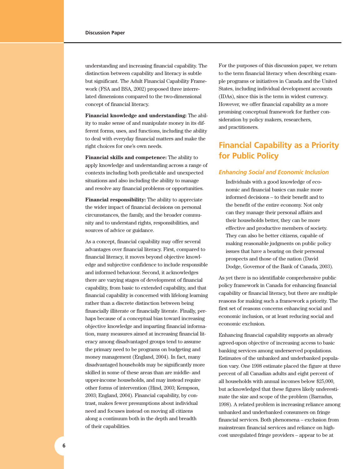<span id="page-5-0"></span>understanding and increasing financial capability. The distinction between capability and literacy is subtle but significant. The Adult Financial Capability Framework (FSA and BSA, 2002) proposed three interrelated dimensions compared to the two-dimensional concept of financial literacy.

**Financial knowledge and understanding:** The ability to make sense of and manipulate money in its different forms, uses, and functions, including the ability to deal with everyday financial matters and make the right choices for one's own needs.

**Financial skills and competence:** The ability to apply knowledge and understanding across a range of contexts including both predictable and unexpected situations and also including the ability to manage and resolve any financial problems or opportunities.

**Financial responsibility:** The ability to appreciate the wider impact of financial decisions on personal circumstances, the family, and the broader community and to understand rights, responsibilities, and sources of advice or guidance.

As a concept, financial capability may offer several advantages over financial literacy. First, compared to financial literacy, it moves beyond objective knowledge and subjective confidence to include responsible and informed behaviour. Second, it acknowledges there are varying stages of development of financial capability, from basic to extended capability, and that financial capability is concerned with lifelong learning rather than a discrete distinction between being financially illiterate or financially literate. Finally, perhaps because of a conceptual bias toward increasing objective knowledge and imparting financial information, many measures aimed at increasing financial literacy among disadvantaged groups tend to assume the primary need to be programs on budgeting and money management (England, 2004). In fact, many disadvantaged households may be significantly more skilled in some of these areas than are middle- and upper-income households, and may instead require other forms of intervention (Hind, 2003; Kempson, 2003; England, 2004). Financial capability, by contrast, makes fewer presumptions about individual need and focuses instead on moving all citizens along a continuum both in the depth and breadth of their capabilities.

For the purposes of this discussion paper, we return to the term financial literacy when describing example programs or initiatives in Canada and the United States, including individual development accounts (IDAs), since this is the term in widest currency. However, we offer financial capability as a more promising conceptual framework for further consideration by policy makers, researchers, and practitioners.

## **Financial Capability as a Priority for Public Policy**

#### *Enhancing Social and Economic Inclusion*

Individuals with a good knowledge of economic and financial basics can make more informed decisions – to their benefit and to the benefit of the entire economy. Not only can they manage their personal affairs and their households better, they can be more effective and productive members of society. They can also be better citizens, capable of making reasonable judgments on public policy issues that have a bearing on their personal prospects and those of the nation (David Dodge, Governor of the Bank of Canada, 2003).

As yet there is no identifiable comprehensive public policy framework in Canada for enhancing financial capability or financial literacy, but there are multiple reasons for making such a framework a priority. The first set of reasons concerns enhancing social and economic inclusion, or at least reducing social and economic exclusion.

Enhancing financial capability supports an already agreed-upon objective of increasing access to basic banking services among underserved populations. Estimates of the unbanked and underbanked population vary. One 1998 estimate placed the figure at three percent of all Canadian adults and eight percent of all households with annual incomes below \$25,000, but acknowledged that these figures likely underestimate the size and scope of the problem (Barradus, 1998). A related problem is increasing reliance among unbanked and underbanked consumers on fringe financial services. Both phenomena – exclusion from mainstream financial services and reliance on highcost unregulated fringe providers – appear to be at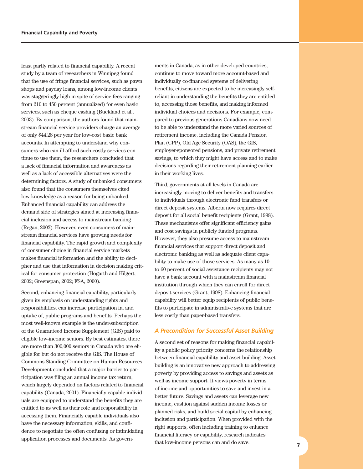least partly related to financial capability. A recent study by a team of researchers in Winnipeg found that the use of fringe financial services, such as pawn shops and payday loans, among low-income clients was staggeringly high in spite of service fees ranging from 210 to 450 percent (annualized) for even basic services, such as cheque cashing (Buckland et al., 2003). By comparison, the authors found that mainstream financial service providers charge an average of only \$44.28 per year for low-cost basic bank accounts. In attempting to understand why consumers who can ill-afford such costly services continue to use them, the researchers concluded that a lack of financial information and awareness as well as a lack of accessible alternatives were the determining factors. A study of unbanked consumers also found that the consumers themselves cited low knowledge as a reason for being unbanked. Enhanced financial capability can address the demand side of strategies aimed at increasing financial inclusion and access to mainstream banking (Regan, 2003). However, even consumers of mainstream financial services have growing needs for financial capability. The rapid growth and complexity of consumer choice in financial service markets makes financial information and the ability to decipher and use that information in decision making critical for consumer protection (Hogarth and Hilgert, 2002; Greenspan, 2002; FSA, 2000).

Second, enhancing financial capability, particularly given its emphasis on understanding rights and responsibilities, can increase participation in, and uptake of, public programs and benefits. Perhaps the most well-known example is the under-subscription of the Guaranteed Income Supplement (GIS) paid to eligible low-income seniors. By best estimates, there are more than 300,000 seniors in Canada who are eligible for but do not receive the GIS. The House of Commons Standing Committee on Human Resources Development concluded that a major barrier to participation was filing an annual income tax return, which largely depended on factors related to financial capability (Canada, 2001). Financially capable individuals are equipped to understand the benefits they are entitled to as well as their role and responsibility in accessing them. Financially capable individuals also have the necessary information, skills, and confidence to negotiate the often confusing or intimidating application processes and documents. As governments in Canada, as in other developed countries, continue to move toward more account-based and individually co-financed systems of delivering benefits, citizens are expected to be increasingly selfreliant in understanding the benefits they are entitled to, accessing those benefits, and making informed individual choices and decisions. For example, compared to previous generations Canadians now need to be able to understand the more varied sources of retirement income, including the Canada Pension Plan (CPP), Old Age Security (OAS), the GIS, employer-sponsored pensions, and private retirement savings, to which they might have access and to make decisions regarding their retirement planning earlier in their working lives.

Third, governments at all levels in Canada are increasingly moving to deliver benefits and transfers to individuals through electronic fund transfers or direct deposit systems. Alberta now requires direct deposit for all social benefit recipients (Grant, 1998). These mechanisms offer significant efficiency gains and cost savings in publicly funded programs. However, they also presume access to mainstream financial services that support direct deposit and electronic banking as well as adequate client capability to make use of those services. As many as 10 to 60 percent of social assistance recipients may not have a bank account with a mainstream financial institution through which they can enroll for direct deposit services (Grant, 1998). Enhancing financial capability will better equip recipients of public benefits to participate in administrative systems that are less costly than paper-based transfers.

#### *A Precondition for Successful Asset Building*

A second set of reasons for making financial capability a public policy priority concerns the relationship between financial capability and asset building. Asset building is an innovative new approach to addressing poverty by providing access to savings and assets as well as income support. It views poverty in terms of income and opportunities to save and invest in a better future. Savings and assets can leverage new income, cushion against sudden income losses or planned risks, and build social capital by enhancing inclusion and participation. When provided with the right supports, often including training to enhance financial literacy or capability, research indicates that low-income persons can and do save. **<sup>7</sup>**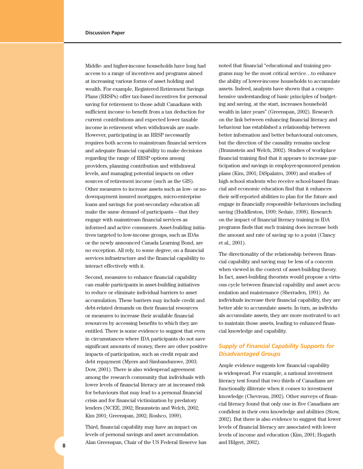Middle- and higher-income households have long had access to a range of incentives and programs aimed at increasing various forms of asset holding and wealth. For example, Registered Retirement Savings Plans (RRSPs) offer tax-based incentives for personal saving for retirement to those adult Canadians with sufficient income to benefit from a tax deduction for current contributions and expected lower taxable income in retirement when withdrawals are made. However, participating in an RRSP necessarily requires both access to mainstream financial services and adequate financial capability to make decisions regarding the range of RRSP options among providers, planning contribution and withdrawal levels, and managing potential impacts on other sources of retirement income (such as the GIS). Other measures to increase assets such as low- or nodownpayment insured mortgages, micro-enterprise loans and savings for post-secondary education all make the same demand of participants – that they engage with mainstream financial services as informed and active consumers. Asset-building initiatives targeted to low-income groups, such as IDAs or the newly announced Canada Learning Bond, are no exception. All rely, to some degree, on a financial services infrastructure and the financial capability to interact effectively with it.

Second, measures to enhance financial capability can enable participants in asset-building initiatives to reduce or eliminate individual barriers to asset accumulation. These barriers may include credit and debt-related demands on their financial resources or measures to increase their available financial resources by accessing benefits to which they are entitled. There is some evidence to suggest that even in circumstances where IDA participants do not save significant amounts of money, there are other positive impacts of participation, such as credit repair and debt repayment (Myers and Simbandumwe, 2003; Dow, 2001). There is also widespread agreement among the research community that individuals with lower levels of financial literacy are at increased risk for behaviours that may lead to a personal financial crisis and for financial victimization by predatory lenders (NCEE, 2002; Braunstein and Welch, 2002; Kim 2001; Greenspan, 2002; Roshco, 1999).

Third, financial capability may have an impact on levels of personal savings and asset accumulation. Alan Greenspan, Chair of the US Federal Reserve has and Hilgert, 2002). **8**

noted that financial "educational and training programs may be the most critical service…to enhance the ability of lower-income households to accumulate assets. Indeed, analysts have shown that a comprehensive understanding of basic principles of budgeting and saving, at the start, increases household wealth in later years" (Greenspan, 2002). Research on the link between enhancing financial literacy and behaviour has established a relationship between better information and better behavioural outcomes, but the direction of the causality remains unclear (Braunstein and Welch, 2002). Studies of workplace financial training find that it appears to increase participation and savings in employer-sponsored pension plans (Kim, 2001; DiSpalatro, 2000) and studies of high school students who receive school-based financial and economic education find that it enhances their self-reported abilities to plan for the future and engage in financially responsible behaviours including saving (Huddleston, 1999; Sedaie, 1998). Research on the impact of financial literacy training in IDA programs finds that such training does increase both the amount and rate of saving up to a point (Clancy et al., 2001).

The directionality of the relationship between financial capability and saving may be less of a concern when viewed in the context of asset-building theory. In fact, asset-building theorists would propose a virtuous cycle between financial capability and asset accumulation and maintenance (Sherraden, 1991). As individuals increase their financial capability, they are better able to accumulate assets. In turn, as individuals accumulate assets, they are more motivated to act to maintain those assets, leading to enhanced financial knowledge and capability.

#### *Supply of Financial Capability Supports for Disadvantaged Groups*

Ample evidence suggests low financial capability is widespread. For example, a national investment literacy test found that two thirds of Canadians are functionally illiterate when it comes to investment knowledge (Chevreau, 2002). Other surveys of financial literacy found that only one in five Canadians are confident in their own knowledge and abilities (Stow, 2002). But there is also evidence to suggest that lower levels of financial literacy are associated with lower levels of income and education (Kim, 2001; Hogarth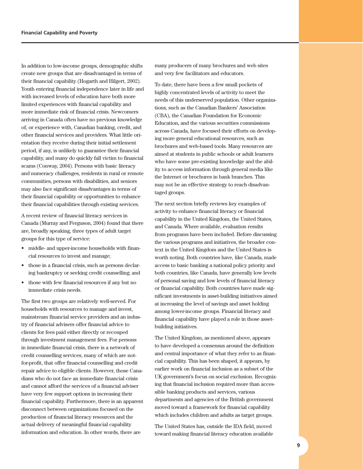In addition to low-income groups, demographic shifts create new groups that are disadvantaged in terms of their financial capability (Hogarth and Hilgert, 2002). Youth entering financial independence later in life and with increased levels of education have both more limited experiences with financial capability and more immediate risk of financial crisis. Newcomers arriving in Canada often have no previous knowledge of, or experience with, Canadian banking, credit, and other financial services and providers. What little orientation they receive during their initial settlement period, if any, is unlikely to guarantee their financial capability, and many do quickly fall victim to financial scams (Conway, 2004). Persons with basic literacy and numeracy challenges, residents in rural or remote communities, persons with disabilities, and seniors may also face significant disadvantages in terms of their financial capability or opportunities to enhance their financial capabilities through existing services.

A recent review of financial literacy services in Canada (Murray and Ferguson, 2004) found that there are, broadly speaking, three types of adult target groups for this type of service:

- middle- and upper-income households with financial resources to invest and manage;
- those in a financial crisis, such as persons declaring bankruptcy or seeking credit counselling; and
- those with few financial resources if any but no immediate crisis needs.

The first two groups are relatively well-served. For households with resources to manage and invest, mainstream financial service providers and an industry of financial advisers offer financial advice to clients for fees paid either directly or recouped through investment management fees. For persons in immediate financial crisis, there is a network of credit counselling services, many of which are notfor-profit, that offer financial counselling and credit repair advice to eligible clients. However, those Canadians who do not face an immediate financial crisis and cannot afford the services of a financial adviser have very few support options in increasing their financial capability. Furthermore, there is an apparent disconnect between organizations focused on the production of financial literacy resources and the actual delivery of meaningful financial capability information and education. In other words, there are

many producers of many brochures and web sites and very few facilitators and educators.

To date, there have been a few small pockets of highly concentrated levels of activity to meet the needs of this underserved population. Other organizations, such as the Canadian Bankers' Association (CBA), the Canadian Foundation for Economic Education, and the various securities commissions across Canada, have focused their efforts on developing more general educational resources, such as brochures and web-based tools. Many resources are aimed at students in public schools or adult learners who have some pre-existing knowledge and the ability to access information through general media like the Internet or brochures in bank branches. This may not be an effective strategy to reach disadvantaged groups.

The next section briefly reviews key examples of activity to enhance financial literacy or financial capability in the United Kingdom, the United States, and Canada. Where available, evaluation results from programs have been included. Before discussing the various programs and initiatives, the broader context in the United Kingdom and the United States is worth noting. Both countries have, like Canada, made access to basic banking a national policy priority and both countries, like Canada, have generally low levels of personal saving and low levels of financial literacy or financial capability. Both countries have made significant investments in asset-building initiatives aimed at increasing the level of savings and asset holding among lower-income groups. Financial literacy and financial capability have played a role in those assetbuilding initiatives.

The United Kingdom, as mentioned above, appears to have developed a consensus around the definition and central importance of what they refer to as financial capability. This has been shaped, it appears, by earlier work on financial inclusion as a subset of the UK government's focus on social exclusion. Recognizing that financial inclusion required more than accessible banking products and services, various departments and agencies of the British government moved toward a framework for financial capability which includes children and adults as target groups.

The United States has, outside the IDA field, moved toward making financial literacy education available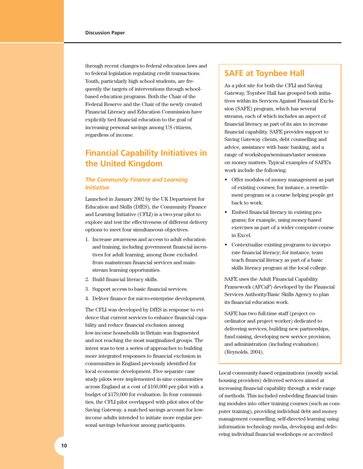<span id="page-9-0"></span>through recent changes to federal education laws and to federal legislation regulating credit transactions. Youth, particularly high school students, are frequently the targets of interventions through schoolbased education programs. Both the Chair of the Federal Reserve and the Chair of the newly created Financial Literacy and Education Commission have explicitly tied financial education to the goal of increasing personal savings among US citizens, regardless of income.

## **Financial Capability Initiatives in the United Kingdom**

#### *The Community Finance and Learning Initiative*

Launched in January 2002 by the UK Department for Education and Skills (DfES), the Community Finance and Learning Initiative (CFLI) is a two-year pilot to explore and test the effectiveness of different delivery options to meet four simultaneous objectives.

- 1. Increase awareness and access to adult education and training, including government financial incentives for adult learning, among those excluded from mainstream financial services and mainstream learning opportunities.
- 2. Build financial literacy skills.
- 3. Support access to basic financial services.
- 4. Deliver finance for micro-enterprise development.

The CFLI was developed by DfES in response to evidence that current services to enhance financial capability and reduce financial exclusion among low-income households in Britain was fragmented and not reaching the most marginalized groups. The intent was to test a series of approaches to building more integrated responses to financial exclusion in communities in England previously identified for local economic development. Five separate case study pilots were implemented in nine communities across England at a cost of £160,000 per pilot with a budget of £179,000 for evaluation. In four communities, the CFLI pilot overlapped with pilot sites of the Saving Gateway, a matched savings account for lowincome adults intended to initiate more regular personal savings behaviour among participants.

### **SAFE at Toynbee Hall**

As a pilot site for both the CFLI and Saving Gateway, Toynbee Hall has grouped both initiatives within its Services Against Financial Exclusion (SAFE) program, which has several streams, each of which includes an aspect of financial literacy as part of its aim to increase financial capability. SAFE provides support to Saving Gateway clients, debt counselling and advice, assistance with basic banking, and a range of workshops/seminars/taster sessions on money matters. Typical examples of SAFE's work include the following.

- Offer modules of money management as part of existing courses; for instance, a resettlement program or a course helping people get back to work.
- Embed financial literacy in existing programs; for example, using money-based exercises as part of a wider computer course in Excel.
- Contextualize existing programs to incorporate financial literacy; for instance, team teach financial literacy as part of a basic skills literacy program at the local college.

SAFE uses the Adult Financial Capability Framework (AFCaF) developed by the Financial Services Authority/Basic Skills Agency to plan its financial education work.

SAFE has two full-time staff (project coordinator and project worker) dedicated to delivering services, building new partnerships, fund raising, developing new service provision, and administration (including evaluation) (Reynolds, 2004).

Local community-based organizations (mostly social housing providers) delivered services aimed at increasing financial capability through a wide range of methods. This included embedding financial training modules into other training courses (such as computer training), providing individual debt and money management counselling, self-directed learning using information technology media, developing and delivering individual financial workshops or accredited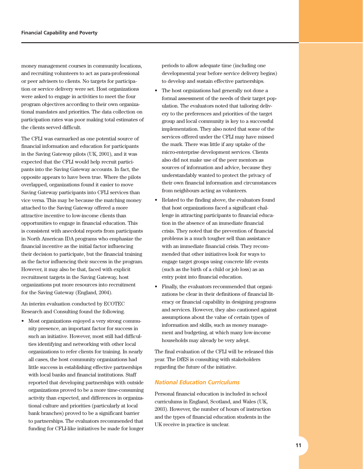money management courses in community locations, and recruiting volunteers to act as para-professional or peer advisers to clients. No targets for participation or service delivery were set. Host organizations were asked to engage in activities to meet the four program objectives according to their own organizational mandates and priorities. The data collection on participation rates was poor making total estimates of the clients served difficult.

The CFLI was earmarked as one potential source of financial information and education for participants in the Saving Gateway pilots (UK, 2001), and it was expected that the CFLI would help recruit participants into the Saving Gateway accounts. In fact, the opposite appears to have been true. Where the pilots overlapped, organizations found it easier to move Saving Gateway participants into CFLI services than vice versa. This may be because the matching money attached to the Saving Gateway offered a more attractive incentive to low-income clients than opportunities to engage in financial education. This is consistent with anecdotal reports from participants in North American IDA programs who emphasize the financial incentive as the initial factor influencing their decision to participate, but the financial training as the factor influencing their success in the program. However, it may also be that, faced with explicit recruitment targets in the Saving Gateway, host organizations put more resources into recruitment for the Saving Gateway (England, 2004).

An interim evaluation conducted by ECOTEC Research and Consulting found the following.

• Most organizations enjoyed a very strong community presence, an important factor for success in such an initiative. However, most still had difficulties identifying and networking with other local organizations to refer clients for training. In nearly all cases, the host community organizations had little success in establishing effective partnerships with local banks and financial institutions. Staff reported that developing partnerships with outside organizations proved to be a more time-consuming activity than expected, and differences in organizational culture and priorities (particularly at local bank branches) proved to be a significant barrier to partnerships. The evaluators recommended that funding for CFLI-like initiatives be made for longer

periods to allow adequate time (including one developmental year before service delivery begins) to develop and sustain effective partnerships.

- The host orgnizations had generally not done a formal assessment of the needs of their target population. The evaluators noted that tailoring delivery to the preferences and priorities of the target group and local community is key to a successful implementation. They also noted that some of the services offered under the CFLI may have missed the mark. There was little if any uptake of the micro-enterprise development services. Clients also did not make use of the peer mentors as sources of information and advice, because they understandably wanted to protect the privacy of their own financial information and circumstances from neighbours acting as volunteers.
- Related to the finding above, the evaluators found that host organizations faced a significant challenge in attracting participants to financial education in the absence of an immediate financial crisis. They noted that the prevention of financial problems is a much tougher sell than assistance with an immediate financial crisis. They recommended that other initiatives look for ways to engage target groups using concrete life events (such as the birth of a child or job loss) as an entry point into financial education.
- Finally, the evaluators recommended that organizations be clear in their definitions of financial literacy or financial capability in designing programs and services. However, they also cautioned against assumptions about the value of certain types of information and skills, such as money management and budgeting, at which many low-income households may already be very adept.

The final evaluation of the CFLI will be released this year. The DfES is consulting with stakeholders regarding the future of the initiative.

#### *National Education Curriculums*

Personal financial education is included in school curriculums in England, Scotland, and Wales (UK, 2003). However, the number of hours of instruction and the types of financial education students in the UK receive in practice is unclear.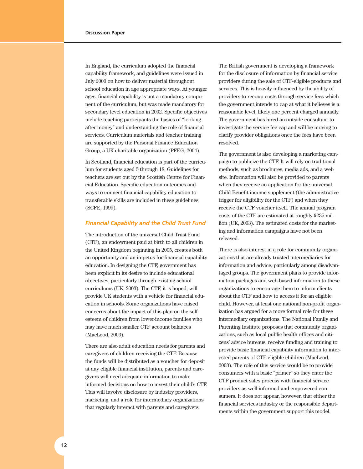In England, the curriculum adopted the financial capability framework, and guidelines were issued in July 2000 on how to deliver material throughout school education in age appropriate ways. At younger ages, financial capability is not a mandatory component of the curriculum, but was made mandatory for secondary level education in 2002. Specific objectives include teaching participants the basics of "looking after money" and understanding the role of financial services. Curriculum materials and teacher training are supported by the Personal Finance Education Group, a UK charitable organization (PFEG, 2004).

In Scotland, financial education is part of the curriculum for students aged 5 through 18. Guidelines for teachers are set out by the Scottish Centre for Financial Education. Specific education outcomes and ways to connect financial capability education to transferable skills are included in these guidelines (SCFE, 1999).

#### *Financial Capability and the Child Trust Fund*

The introduction of the universal Child Trust Fund (CTF), an endowment paid at birth to all children in the United Kingdom beginning in 2005, creates both an opportunity and an impetus for financial capability education. In designing the CTF, government has been explicit in its desire to include educational objectives, particularly through existing school curriculums (UK, 2003). The CTF, it is hoped, will provide UK students with a vehicle for financial education in schools. Some organizations have raised concerns about the impact of this plan on the selfesteem of children from lower-income families who may have much smaller CTF account balances (MacLeod, 2003).

There are also adult education needs for parents and caregivers of children receiving the CTF. Because the funds will be distributed as a voucher for deposit at any eligible financial institution, parents and caregivers will need adequate information to make informed decisions on how to invest their child's CTF. This will involve disclosure by industry providers, marketing, and a role for intermediary organizations that regularly interact with parents and caregivers.

The British government is developing a framework for the disclosure of information by financial service providers during the sale of CTF-eligible products and services. This is heavily influenced by the ability of providers to recoup costs through service fees which the government intends to cap at what it believes is a reasonable level, likely one percent charged annually. The government has hired an outside consultant to investigate the service fee cap and will be moving to clarify provider obligations once the fees have been resolved.

The government is also developing a marketing campaign to publicize the CTF. It will rely on traditional methods, such as brochures, media ads, and a web site. Information will also be provided to parents when they receive an application for the universal Child Benefit income supplement (the administrative trigger for eligibility for the CTF) and when they receive the CTF voucher itself. The annual program costs of the CTF are estimated at roughly £235 million (UK, 2003). The estimated costs for the marketing and information campaigns have not been released.

There is also interest in a role for community organizations that are already trusted intermediaries for information and advice, particularly among disadvantaged groups. The government plans to provide information packages and web-based information to these organizations to encourage them to inform clients about the CTF and how to access it for an eligible child. However, at least one national non-profit organization has argued for a more formal role for these intermediary organizations. The National Family and Parenting Institute proposes that community organizations, such as local public health offices and citizens' advice bureaus, receive funding and training to provide basic financial capability information to interested parents of CTF-eligible children (MacLeod, 2003). The role of this service would be to provide consumers with a basic "primer" so they enter the CTF product sales process with financial service providers as well-informed and empowered consumers. It does not appear, however, that either the financial services industry or the responsible departments within the government support this model.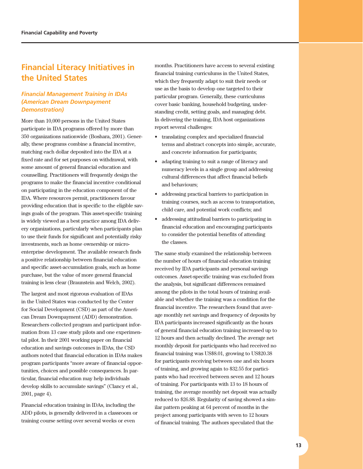## <span id="page-12-0"></span>**Financial Literacy Initiatives in the United States**

#### *Financial Management Training in IDAs (American Dream Downpayment Demonstration)*

More than 10,000 persons in the United States participate in IDA programs offered by more than 350 organizations nationwide (Boshara, 2001). Generally, these programs combine a financial incentive, matching each dollar deposited into the IDA at a fixed rate and for set purposes on withdrawal, with some amount of general financial education and counselling. Practitioners will frequently design the programs to make the financial incentive conditional on participating in the education component of the IDA. Where resources permit, practitioners favour providing education that is specific to the eligible savings goals of the program. This asset-specific training is widely viewed as a best practice among IDA delivery organizations, particularly when participants plan to use their funds for significant and potentially risky investments, such as home ownership or microenterprise development. The available research finds a positive relationship between financial education and specific asset-accumulation goals, such as home purchase, but the value of more general financial training is less clear (Braunstein and Welch, 2002).

The largest and most rigorous evaluation of IDAs in the United States was conducted by the Center for Social Development (CSD) as part of the American Dream Downpayment (ADD) demonstration. Researchers collected program and participant information from 13 case study pilots and one experimental pilot. In their 2001 working paper on financial education and savings outcomes in IDAs, the CSD authors noted that financial education in IDAs makes program participants "more aware of financial opportunities, choices and possible consequences. In particular, financial education may help individuals develop skills to accumulate savings" (Clancy et al., 2001, page 4).

Financial education training in IDAs, including the ADD pilots, is generally delivered in a classroom or training course setting over several weeks or even

months. Practitioners have access to several existing financial training curriculums in the United States, which they frequently adapt to suit their needs or use as the basis to develop one targeted to their particular program. Generally, these curriculums cover basic banking, household budgeting, understanding credit, setting goals, and managing debt. In delivering the training, IDA host organizations report several challenges:

- translating complex and specialized financial terms and abstract concepts into simple, accurate, and concrete information for participants;
- adapting training to suit a range of literacy and numeracy levels in a single group and addressing cultural differences that affect financial beliefs and behaviours;
- addressing practical barriers to participation in training courses, such as access to transportation, child care, and potential work conflicts; and
- addressing attitudinal barriers to participating in financial education and encouraging participants to consider the potential benefits of attending the classes.

The same study examined the relationship between the number of hours of financial education training received by IDA participants and personal savings outcomes. Asset-specific training was excluded from the analysis, but significant differences remained among the pilots in the total hours of training available and whether the training was a condition for the financial incentive. The researchers found that average monthly net savings and frequency of deposits by IDA participants increased significantly as the hours of general financial education training increased up to 12 hours and then actually declined. The average net monthly deposit for participants who had received no financial training was US\$8.01, growing to US\$20.38 for participants receiving between one and six hours of training, and growing again to \$32.55 for participants who had received between seven and 12 hours of training. For participants with 13 to 18 hours of training, the average monthly net deposit was actually reduced to \$26.88. Regularity of saving showed a similar pattern peaking at 64 percent of months in the project among participants with seven to 12 hours of financial training. The authors speculated that the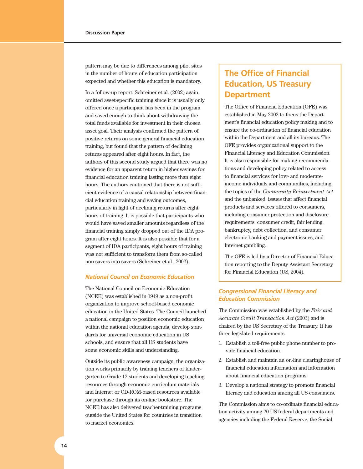pattern may be due to differences among pilot sites in the number of hours of education participation expected and whether this education is mandatory.

In a follow-up report, Schreiner et al. (2002) again omitted asset-specific training since it is usually only offered once a participant has been in the program and saved enough to think about withdrawing the total funds available for investment in their chosen asset goal. Their analysis confirmed the pattern of positive returns on some general financial education training, but found that the pattern of declining returns appeared after eight hours. In fact, the authors of this second study argued that there was no evidence for an apparent return in higher savings for financial education training lasting more than eight hours. The authors cautioned that there is not sufficient evidence of a causal relationship between financial education training and saving outcomes, particularly in light of declining returns after eight hours of training. It is possible that participants who would have saved smaller amounts regardless of the financial training simply dropped out of the IDA program after eight hours. It is also possible that for a segment of IDA participants, eight hours of training was not sufficient to transform them from so-called non-savers into savers (Schreiner et al., 2002).

#### *National Council on Economic Education*

The National Council on Economic Education (NCEE) was established in 1949 as a non-profit organization to improve school-based economic education in the United States. The Council launched a national campaign to position economic education within the national education agenda, develop standards for universal economic education in US schools, and ensure that all US students have some economic skills and understanding.

Outside its public awareness campaign, the organization works primarily by training teachers of kindergarten to Grade 12 students and developing teaching resources through economic curriculum materials and Internet or CD-ROM-based resources available for purchase through its on-line bookstore. The NCEE has also delivered teacher-training programs outside the United States for countries in transition to market economies.

## **The Office of Financial Education, US Treasury Department**

The Office of Financial Education (OFE) was established in May 2002 to focus the Department's financial education policy making and to ensure the co-ordination of financial education within the Department and all its bureaus. The OFE provides organizational support to the Financial Literacy and Education Commission. It is also responsible for making recommendations and developing policy related to access to financial services for low- and moderateincome individuals and communities, including the topics of the *Community Reinvestment Act* and the unbanked; issues that affect financial products and services offered to consumers, including consumer protection and disclosure requirements, consumer credit, fair lending, bankruptcy, debt collection, and consumer electronic banking and payment issues; and Internet gambling.

The OFE is led by a Director of Financial Education reporting to the Deputy Assistant Secretary for Financial Education (US, 2004).

#### *Congressional Financial Literacy and Education Commission*

The Commission was established by the *Fair and Accurate Credit Transaction Act* (2003) and is chaired by the US Secretary of the Treasury. It has three legislated requirements.

- 1. Establish a toll-free public phone number to provide financial education.
- 2. Establish and maintain an on-line clearinghouse of financial education information and information about financial education programs.
- 3. Develop a national strategy to promote financial literacy and education among all US consumers.

The Commission aims to co-ordinate financial education activity among 20 US federal departments and agencies including the Federal Reserve, the Social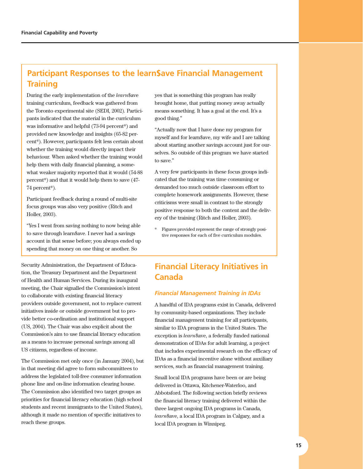## <span id="page-14-0"></span>**Participant Responses to the learn\$ave Financial Management Training**

During the early implementation of the *learn*\$ave training curriculum, feedback was gathered from the Toronto experimental site (SEDI, 2002). Participants indicated that the material in the curriculum was informative and helpful (73-94 percent\*) and provided new knowledge and insights (65-82 percent\*). However, participants felt less certain about whether the training would directly impact their behaviour. When asked whether the training would help them with daily financial planning, a somewhat weaker majority reported that it would (54-88 percent\*) and that it would help them to save (47- 74 percent\*).

Participant feedback during a round of multi-site focus groups was also very positive (Ritch and Holler, 2003).

"Yes I went from saving nothing to now being able to save through learn\$ave. I never had a savings account in that sense before; you always ended up spending that money on one thing or another. So

Security Administration, the Department of Education, the Treasury Department and the Department of Health and Human Services. During its inaugural meeting, the Chair signalled the Commission's intent to collaborate with existing financial literacy providers outside government, not to replace current initiatives inside or outside government but to provide better co-ordination and institutional support (US, 2004). The Chair was also explicit about the Commission's aim to use financial literacy education as a means to increase personal savings among all US citizens, regardless of income.

The Commission met only once (in January 2004), but in that meeting did agree to form subcommittees to address the legislated toll-free consumer information phone line and on-line information clearing house. The Commission also identified two target groups as priorities for financial literacy education (high school students and recent immigrants to the United States), although it made no mention of specific initiatives to reach these groups.

yes that is something this program has really brought home, that putting money away actually means something. It has a goal at the end. It's a good thing."

"Actually now that I have done my program for myself and for learn\$ave, my wife and I are talking about starting another savings account just for ourselves. So outside of this program we have started to save."

A very few participants in these focus groups indicated that the training was time consuming or demanded too much outside classroom effort to complete homework assignments. However, these criticisms were small in contrast to the strongly positive response to both the content and the delivery of the training (Ritch and Holler, 2003).

\* Figures provided represent the range of strongly positive responses for each of five curriculum modules.

## **Financial Literacy Initiatives in Canada**

#### *Financial Management Training in IDAs*

A handful of IDA programs exist in Canada, delivered by community-based organizations. They include financial management training for all participants, similar to IDA programs in the United States. The exception is *learn*\$ave, a federally funded national demonstration of IDAs for adult learning, a project that includes experimental research on the efficacy of IDAs as a financial incentive alone without auxiliary services, such as financial management training.

Small local IDA programs have been or are being delivered in Ottawa, Kitchener-Waterloo, and Abbotsford. The following section briefly reviews the financial literacy training delivered within the three largest ongoing IDA programs in Canada, *learn*\$ave, a local IDA program in Calgary, and a local IDA program in Winnipeg.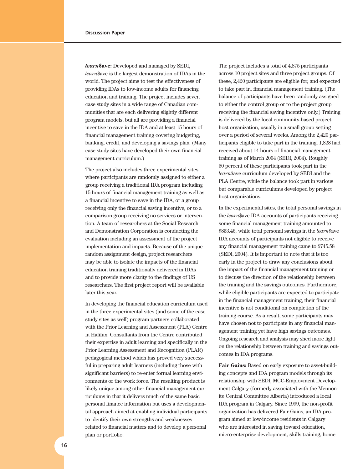*learn***\$ave:** Developed and managed by SEDI, *learn*\$ave is the largest demonstration of IDAs in the world. The project aims to test the effectiveness of providing IDAs to low-income adults for financing education and training. The project includes seven case study sites in a wide range of Canadian communities that are each delivering slightly different program models, but all are providing a financial incentive to save in the IDA and at least 15 hours of financial management training covering budgeting, banking, credit, and developing a savings plan. (Many case study sites have developed their own financial management curriculum.)

The project also includes three experimental sites where participants are randomly assigned to either a group receiving a traditional IDA program including 15 hours of financial management training as well as a financial incentive to save in the IDA, or a group receiving only the financial saving incentive, or to a comparison group receiving no services or intervention. A team of researchers at the Social Research and Demonstration Corporation is conducting the evaluation including an assessment of the project implementation and impacts. Because of the unique random assignment design, project researchers may be able to isolate the impacts of the financial education training traditionally delivered in IDAs and to provide more clarity to the findings of US researchers. The first project report will be available later this year.

In developing the financial education curriculum used in the three experimental sites (and some of the case study sites as well) program partners collaborated with the Prior Learning and Assessment (PLA) Centre in Halifax. Consultants from the Centre contributed their expertise in adult learning and specifically in the Prior Learning Assessment and Recognition (PLAR) pedagogical method which has proved very successful in preparing adult learners (including those with significant barriers) to re-enter formal learning environments or the work force. The resulting product is likely unique among other financial management curriculums in that it delivers much of the same basic personal finance information but uses a developmental approach aimed at enabling individual participants to identify their own strengths and weaknesses related to financial matters and to develop a personal plan or portfolio.

The project includes a total of 4,875 participants across 10 project sites and three project groups. Of these, 2,420 participants are eligible for, and expected to take part in, financial management training. (The balance of participants have been randomly assigned to either the control group or to the project group receiving the financial saving incentive only.) Training is delivered by the local community-based project host organization, usually in a small group setting over a period of several weeks. Among the 2,420 participants eligible to take part in the training, 1,828 had received about 14 hours of financial management training as of March 2004 (SEDI, 2004). Roughly 50 percent of these participants took part in the *learn*\$ave curriculum developed by SEDI and the PLA Centre, while the balance took part in various but comparable curriculums developed by project host organizations.

In the experimental sites, the total personal savings in the *learn*\$ave IDA accounts of participants receiving some financial management training amounted to \$853.46, while total personal savings in the *learn*\$ave IDA accounts of participants not eligible to receive any financial management training came to \$745.58 (SEDI, 2004). It is important to note that it is too early in the project to draw any conclusions about the impact of the financial management training or to discuss the direction of the relationship between the training and the savings outcomes. Furthermore, while eligible participants are expected to participate in the financial management training, their financial incentive is not conditional on completion of the training course. As a result, some participants may have chosen not to participate in any financial management training yet have high savings outcomes. Ongoing research and analysis may shed more light on the relationship between training and savings outcomes in IDA programs.

**Fair Gains:** Based on early exposure to asset-building concepts and IDA program models through its relationship with SEDI, MCC-Employment Development Calgary (formerly associated with the Mennonite Central Committee Alberta) introduced a local IDA program in Calgary. Since 1999, the non-profit organization has delivered Fair Gains, an IDA program aimed at low-income residents in Calgary who are interested in saving toward education, micro-enterprise development, skills training, home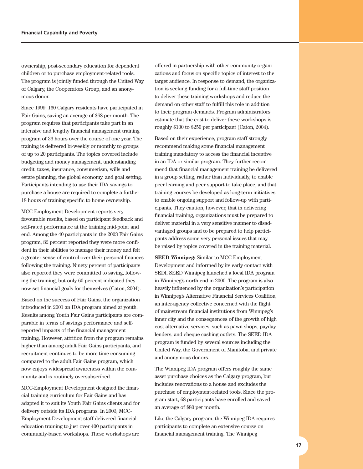ownership, post-secondary education for dependent children or to purchase employment-related tools. The program is jointly funded through the United Way of Calgary, the Cooperators Group, and an anonymous donor.

Since 1999, 160 Calgary residents have participated in Fair Gains, saving an average of \$68 per month. The program requires that participants take part in an intensive and lengthy financial management training program of 36 hours over the course of one year. The training is delivered bi-weekly or monthly to groups of up to 20 participants. The topics covered include budgeting and money management, understanding credit, taxes, insurance, consumerism, wills and estate planning, the global economy, and goal setting. Participants intending to use their IDA savings to purchase a house are required to complete a further 18 hours of training specific to home ownership.

MCC-Employment Development reports very favourable results, based on participant feedback and self-rated performance at the training mid-point and end. Among the 40 participants in the 2003 Fair Gains program, 82 percent reported they were more confident in their abilities to manage their money and felt a greater sense of control over their personal finances following the training. Ninety percent of participants also reported they were committed to saving, following the training, but only 60 percent indicated they now set financial goals for themselves (Caton, 2004).

Based on the success of Fair Gains, the organization introduced in 2001 an IDA program aimed at youth. Results among Youth Fair Gains participants are comparable in terms of savings performance and selfreported impacts of the financial management training. However, attrition from the program remains higher than among adult Fair Gains participants, and recruitment continues to be more time consuming compared to the adult Fair Gains program, which now enjoys widespread awareness within the community and is routinely oversubscribed.

MCC-Employment Development designed the financial training curriculum for Fair Gains and has adapted it to suit its Youth Fair Gains clients and for delivery outside its IDA programs. In 2003, MCC-Employment Development staff delivered financial education training to just over 400 participants in community-based workshops. These workshops are offered in partnership with other community organizations and focus on specific topics of interest to the target audience. In response to demand, the organization is seeking funding for a full-time staff position to deliver these training workshops and reduce the demand on other staff to fulfill this role in addition to their program demands. Program administrators estimate that the cost to deliver these workshops is roughly \$100 to \$250 per participant (Caton, 2004).

Based on their experience, program staff strongly recommend making some financial management training mandatory to access the financial incentive in an IDA or similar program. They further recommend that financial management training be delivered in a group setting, rather than individually, to enable peer learning and peer support to take place, and that training courses be developed as long-term initiatives to enable ongoing support and follow-up with participants. They caution, however, that in delivering financial training, organizations must be prepared to deliver material in a very sensitive manner to disadvantaged groups and to be prepared to help participants address some very personal issues that may be raised by topics covered in the training material.

**SEED Winnipeg:** Similar to MCC Employment Development and informed by its early contact with SEDI, SEED Winnipeg launched a local IDA program in Winnipeg's north end in 2000. The program is also heavily influenced by the organization's participation in Winnipeg's Alternative Financial Services Coalition, an inter-agency collective concerned with the flight of mainstream financial institutions from Winnipeg's inner city and the consequences of the growth of high cost alternative services, such as pawn shops, payday lenders, and cheque cashing outlets. The SEED IDA program is funded by several sources including the United Way, the Government of Manitoba, and private and anonymous donors.

The Winnipeg IDA program offers roughly the same asset purchase choices as the Calgary program, but includes renovations to a house and excludes the purchase of employment-related tools. Since the program start, 68 participants have enrolled and saved an average of \$80 per month.

Like the Calgary program, the Winnipeg IDA requires participants to complete an extensive course on financial management training. The Winnipeg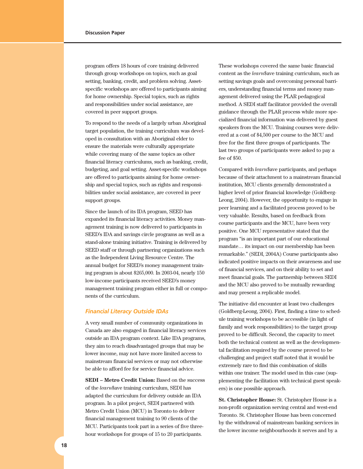program offers 18 hours of core training delivered through group workshops on topics, such as goal setting, banking, credit, and problem solving. Assetspecific workshops are offered to participants aiming for home ownership. Special topics, such as rights and responsibilities under social assistance, are covered in peer support groups.

To respond to the needs of a largely urban Aboriginal target population, the training curriculum was developed in consultation with an Aboriginal elder to ensure the materials were culturally appropriate while covering many of the same topics as other financial literacy curriculums, such as banking, credit, budgeting, and goal setting. Asset-specific workshops are offered to participants aiming for home ownership and special topics, such as rights and responsibilities under social assistance, are covered in peer support groups.

Since the launch of its IDA program, SEED has expanded its financial literacy activities. Money management training is now delivered to participants in SEED's IDA and savings circle programs as well as a stand-alone training initiative. Training is delivered by SEED staff or through partnering organizations such as the Independent Living Resource Centre. The annual budget for SEED's money management training program is about \$265,000. In 2003-04, nearly 150 low-income participants received SEED's money management training program either in full or components of the curriculum.

#### *Financial Literacy Outside IDAs*

A very small number of community organizations in Canada are also engaged in financial literacy services outside an IDA program context. Like IDA programs, they aim to reach disadvantaged groups that may be lower income, may not have more limited access to mainstream financial services or may not otherwise be able to afford fee for service financial advice.

**SEDI – Metro Credit Union:** Based on the success of the *learn*\$ave training curriculum, SEDI has adapted the curriculum for delivery outside an IDA program. In a pilot project, SEDI partnered with Metro Credit Union (MCU) in Toronto to deliver financial management training to 90 clients of the MCU. Participants took part in a series of five threehour workshops for groups of 15 to 20 participants.

These workshops covered the same basic financial content as the *learn*\$ave training curriculum, such as setting savings goals and overcoming personal barriers, understanding financial terms and money management delivered using the PLAR pedagogical method. A SEDI staff facilitator provided the overall guidance through the PLAR process while more specialized financial information was delivered by guest speakers from the MCU. Training courses were delivered at a cost of \$4,500 per course to the MCU and free for the first three groups of participants. The last two groups of participants were asked to pay a fee of \$50.

Compared with *learn*\$ave participants, and perhaps because of their attachment to a mainstream financial institution, MCU clients generally demonstrated a higher level of prior financial knowledge (Goldberg-Leong, 2004). However, the opportunity to engage in peer learning and a facilitated process proved to be very valuable. Results, based on feedback from course participants and the MCU, have been very positive. One MCU representative stated that the program "is an important part of our educational mandate… its impact on our membership has been remarkable." (SEDI, 2004A) Course participants also indicated positive impacts on their awareness and use of financial services, and on their ability to set and meet financial goals. The partnership between SEDI and the MCU also proved to be mutually rewarding and may present a replicable model.

The initiative did encounter at least two challenges (Goldberg-Leong, 2004). First, finding a time to schedule training workshops to be accessible (in light of family and work responsibilities) to the target group proved to be difficult. Second, the capacity to meet both the technical content as well as the developmental facilitation required by the course proved to be challenging and project staff noted that it would be extremely rare to find this combination of skills within one trainer. The model used in this case (supplementing the facilitation with technical guest speakers) is one possible approach.

**St. Christopher House:** St. Christopher House is a non-profit organization serving central and west-end Toronto. St. Christopher House has been concerned by the withdrawal of mainstream banking services in the lower income neighbourhoods it serves and by a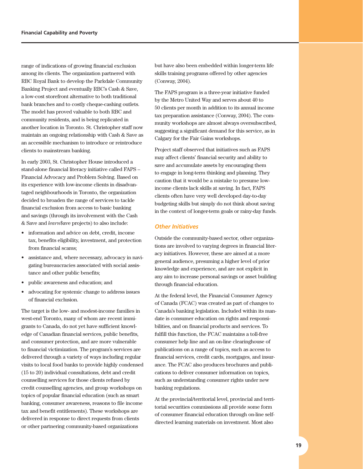range of indications of growing financial exclusion among its clients. The organization partnered with RBC Royal Bank to develop the Parkdale Community Banking Project and eventually RBC's Cash & Save, a low-cost storefront alternative to both traditional bank branches and to costly cheque-cashing outlets. The model has proved valuable to both RBC and community residents, and is being replicated in another location in Toronto. St. Christopher staff now maintain an ongoing relationship with Cash & Save as an accessible mechanism to introduce or reintroduce clients to mainstream banking.

In early 2003, St. Christopher House introduced a stand-alone financial literacy initiative called FAPS – Financial Advocacy and Problem Solving. Based on its experience with low-income clients in disadvantaged neighbourhoods in Toronto, the organization decided to broaden the range of services to tackle financial exclusion from access to basic banking and savings (through its involvement with the Cash & Save and *learn*\$ave projects) to also include:

- information and advice on debt, credit, income tax, benefits eligibility, investment, and protection from financial scams;
- assistance and, where necessary, advocacy in navigating bureaucracies associated with social assistance and other public benefits;
- public awareness and education; and
- advocating for systemic change to address issues of financial exclusion.

The target is the low- and modest-income families in west-end Toronto, many of whom are recent immigrants to Canada, do not yet have sufficient knowledge of Canadian financial services, public benefits, and consumer protection, and are more vulnerable to financial victimization. The program's services are delivered through a variety of ways including regular visits to local food banks to provide highly condensed (15 to 20) individual consultations, debt and credit counselling services for those clients refused by credit counselling agencies, and group workshops on topics of popular financial education (such as smart banking, consumer awareness, reasons to file income tax and benefit entitlements). These workshops are delivered in response to direct requests from clients or other partnering community-based organizations

but have also been embedded within longer-term life skills training programs offered by other agencies (Conway, 2004).

The FAPS program is a three-year initiative funded by the Metro United Way and serves about 40 to 50 clients per month in addition to its annual income tax preparation assistance (Conway, 2004). The community workshops are almost always oversubscribed, suggesting a significant demand for this service, as in Calgary for the Fair Gains workshops.

Project staff observed that initiatives such as FAPS may affect clients' financial security and ability to save and accumulate assets by encouraging them to engage in long-term thinking and planning. They caution that it would be a mistake to presume lowincome clients lack skills at saving. In fact, FAPS clients often have very well developed day-to-day budgeting skills but simply do not think about saving in the context of longer-term goals or rainy-day funds.

#### *Other Initiatives*

Outside the community-based sector, other organizations are involved to varying degrees in financial literacy initiatives. However, these are aimed at a more general audience, presuming a higher level of prior knowledge and experience, and are not explicit in any aim to increase personal savings or asset building through financial education.

At the federal level, the Financial Consumer Agency of Canada (FCAC) was created as part of changes to Canada's banking legislation. Included within its mandate is consumer education on rights and responsibilities, and on financial products and services. To fulfill this function, the FCAC maintains a toll-free consumer help line and an on-line clearinghouse of publications on a range of topics, such as access to financial services, credit cards, mortgages, and insurance. The FCAC also produces brochures and publications to deliver consumer information on topics, such as understanding consumer rights under new banking regulations.

At the provincial/territorial level, provincial and territorial securities commissions all provide some form of consumer financial education through on-line selfdirected learning materials on investment. Most also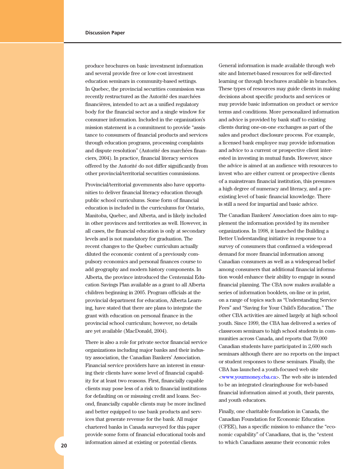produce brochures on basic investment information and several provide free or low-cost investment education seminars in community-based settings. In Quebec, the provincial securities commission was recently restructured as the Autorité des marchées financières, intended to act as a unified regulatory body for the financial sector and a single window for consumer information. Included in the organization's mission statement is a commitment to provide "assistance to consumers of financial products and services through education programs, processing complaints and dispute resolution" (Autorité des marchées financiers, 2004). In practice, financial literacy services offered by the Autorité do not differ significantly from other provincial/territorial securities commissions.

Provincial/territorial governments also have opportunities to deliver financial literacy education through public school curriculums. Some form of financial education is included in the curriculums for Ontario, Manitoba, Quebec, and Alberta, and is likely included in other provinces and territories as well. However, in all cases, the financial education is only at secondary levels and is not mandatory for graduation. The recent changes to the Quebec curriculum actually diluted the economic content of a previously compulsory economics and personal finances course to add geography and modern history components. In Alberta, the province introduced the Centennial Education Savings Plan available as a grant to all Alberta children beginning in 2005. Program officials at the provincial department for education, Alberta Learning, have stated that there are plans to integrate the grant with education on personal finance in the provincial school curriculum; however, no details are yet available (MacDonald, 2004).

There is also a role for private sector financial service organizations including major banks and their industry association, the Canadian Bankers' Association. Financial service providers have an interest in ensuring their clients have some level of financial capability for at least two reasons. First, financially capable clients may pose less of a risk to financial institutions for defaulting on or misusing credit and loans. Second, financially capable clients may be more inclined and better equipped to use bank products and services that generate revenue for the bank. All major chartered banks in Canada surveyed for this paper provide some form of financial educational tools and

General information is made available through web site and Internet-based resources for self-directed learning or through brochures available in branches. These types of resources may guide clients in making decisions about specific products and services or may provide basic information on product or service terms and conditions. More personalized information and advice is provided by bank staff to existing clients during one-on-one exchanges as part of the sales and product disclosure process. For example, a licensed bank employee may provide information and advice to a current or prospective client interested in investing in mutual funds. However, since the advice is aimed at an audience with resources to invest who are either current or prospective clients of a mainstream financial institution, this presumes a high degree of numeracy and literacy, and a preexisting level of basic financial knowledge. There is still a need for impartial and basic advice.

The Canadian Bankers' Association does aim to supplement the information provided by its member organizations. In 1998, it launched the Building a Better Understanding initiative in response to a survey of consumers that confirmed a widespread demand for more financial information among Canadian consumers as well as a widespread belief among consumers that additional financial information would enhance their ability to engage in sound financial planning. The CBA now makes available a series of information booklets, on-line or in print, on a range of topics such as "Understanding Service Fees" and "Saving for Your Child's Education." The other CBA activities are aimed largely at high school youth. Since 1999, the CBA has delivered a series of classroom seminars to high school students in communities across Canada, and reports that 79,000 Canadian students have participated in 2,600 such seminars although there are no reports on the impact or student responses to these seminars. Finally, the CBA has launched a youth-focused web site <www.yourmoney.cba.ca>. The web site is intended to be an integrated clearinghouse for web-based financial information aimed at youth, their parents, and youth educators.

information aimed at existing or potential clients. to which Canadians assume their economic roles **20**Finally, one charitable foundation in Canada, the Canadian Foundation for Economic Education (CFEE), has a specific mission to enhance the "economic capability" of Canadians, that is, the "extent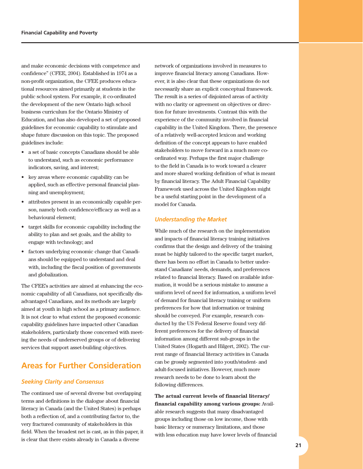<span id="page-20-0"></span>and make economic decisions with competence and confidence" (CFEE, 2004). Established in 1974 as a non-profit organization, the CFEE produces educational resources aimed primarily at students in the public school system. For example, it co-ordinated the development of the new Ontario high school business curriculum for the Ontario Ministry of Education, and has also developed a set of proposed guidelines for economic capability to stimulate and shape future discussion on this topic. The proposed guidelines include:

- a set of basic concepts Canadians should be able to understand, such as economic performance indicators, saving, and interest;
- key areas where economic capability can be applied, such as effective personal financial planning and unemployment;
- attributes present in an economically capable person, namely both confidence/efficacy as well as a behavioural element;
- target skills for economic capability including the ability to plan and set goals, and the ability to engage with technology; and
- factors underlying economic change that Canadians should be equipped to understand and deal with, including the fiscal position of governments and globalization.

The CFEE's activities are aimed at enhancing the economic capability of all Canadians, not specifically disadvantaged Canadians, and its methods are largely aimed at youth in high school as a primary audience. It is not clear to what extent the proposed economic capability guidelines have impacted other Canadian stakeholders, particularly those concerned with meeting the needs of underserved groups or of delivering services that support asset-building objectives.

## **Areas for Further Consideration**

#### *Seeking Clarity and Consensus*

The continued use of several diverse but overlapping terms and definitions in the dialogue about financial literacy in Canada (and the United States) is perhaps both a reflection of, and a contributing factor to, the very fractured community of stakeholders in this field. When the broadest net is cast, as in this paper, it is clear that there exists already in Canada a diverse

network of organizations involved in measures to improve financial literacy among Canadians. However, it is also clear that these organizations do not necessarily share an explicit conceptual framework. The result is a series of disjointed areas of activity with no clarity or agreement on objectives or direction for future investments. Contrast this with the experience of the community involved in financial capability in the United Kingdom. There, the presence of a relatively well-accepted lexicon and working definition of the concept appears to have enabled stakeholders to move forward in a much more coordinated way. Perhaps the first major challenge to the field in Canada is to work toward a clearer and more shared working definition of what is meant by financial literacy. The Adult Financial Capability Framework used across the United Kingdom might be a useful starting point in the development of a model for Canada.

#### *Understanding the Market*

While much of the research on the implementation and impacts of financial literacy training initiatives confirms that the design and delivery of the training must be highly tailored to the specific target market, there has been no effort in Canada to better understand Canadians' needs, demands, and preferences related to financial literacy. Based on available information, it would be a serious mistake to assume a uniform level of need for information, a uniform level of demand for financial literacy training or uniform preferences for how that information or training should be conveyed. For example, research conducted by the US Federal Reserve found very different preferences for the delivery of financial information among different sub-groups in the United States (Hogarth and Hilgert, 2002). The current range of financial literacy activities in Canada can be grossly segmented into youth/student- and adult-focused initiatives. However, much more research needs to be done to learn about the following differences.

**The actual current levels of financial literacy/ financial capability among various groups:** Available research suggests that many disadvantaged groups including those on low income, those with basic literacy or numeracy limitations, and those with less education may have lower levels of financial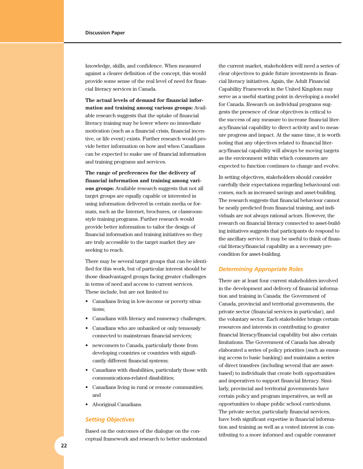knowledge, skills, and confidence. When measured against a clearer definition of the concept, this would provide some sense of the real level of need for financial literacy services in Canada.

**The actual levels of demand for financial information and training among various groups:** Available research suggests that the uptake of financial literacy training may be lower where no immediate motivation (such as a financial crisis, financial incentive, or life event) exists. Further research would provide better information on how and when Canadians can be expected to make use of financial information and training programs and services.

**The range of preferences for the delivery of financial information and training among various groups:** Available research suggests that not all target groups are equally capable or interested in using information delivered in certain media or formats, such as the Internet, brochures, or classroomstyle training programs. Further research would provide better information to tailor the design of financial information and training initiatives so they are truly accessible to the target market they are seeking to reach.

There may be several target groups that can be identified for this work, but of particular interest should be those disadvantaged groups facing greater challenges in terms of need and access to current services. These include, but are not limited to:

- Canadians living in low-income or poverty situations;
- Canadians with literacy and numeracy challenges;
- Canadians who are unbanked or only tenuously connected to mainstream financial services;
- newcomers to Canada, particularly those from developing countries or countries with significantly different financial systems;
- Canadians with disabilities, particularly those with communications-related disabilities;
- Canadians living in rural or remote communities; and
- Aboriginal Canadians.

#### *Setting Objectives*

Based on the outcomes of the dialogue on the conceptual framework and research to better understand

the current market, stakeholders will need a series of clear objectives to guide future investments in financial literacy initiatives. Again, the Adult Financial Capability Framework in the United Kingdom may serve as a useful starting point in developing a model for Canada. Research on individual programs suggests the presence of clear objectives is critical to the success of any measure to increase financial literacy/financial capability to direct activity and to measure progress and impact. At the same time, it is worth noting that any objectives related to financial literacy/financial capability will always be moving targets as the environment within which consumers are expected to function continues to change and evolve.

In setting objectives, stakeholders should consider carefully their expectations regarding behavioural outcomes, such as increased savings and asset-building. The research suggests that financial behaviour cannot be neatly predicted from financial training, and individuals are not always rational actors. However, the research on financial literacy connected to asset-building initiatives suggests that participants do respond to the ancillary service. It may be useful to think of financial literacy/financial capability as a necessary precondition for asset-building.

#### *Determining Appropriate Roles*

There are at least four current stakeholders involved in the development and delivery of financial information and training in Canada: the Government of Canada, provincial and territorial governments, the private sector (financial services in particular), and the voluntary sector. Each stakeholder brings certain resources and interests in contributing to greater financial literacy/financial capability but also certain limitations. The Government of Canada has already elaborated a series of policy priorities (such as ensuring access to basic banking) and maintains a series of direct transfers (including several that are assetbased) to individuals that create both opportunities and imperatives to support financial literacy. Similarly, provincial and territorial governments have certain policy and program imperatives, as well as opportunities to shape public school curriculums. The private sector, particularly financial services, have both significant expertise in financial information and training as well as a vested interest in contributing to a more informed and capable consumer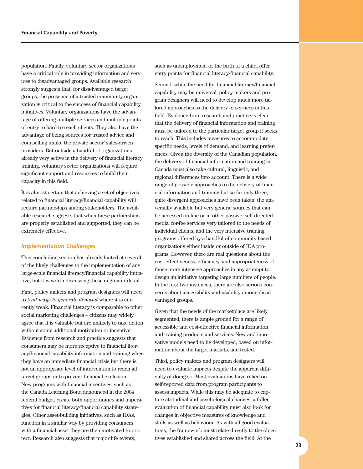population. Finally, voluntary sector organizations have a critical role in providing information and services to disadvantaged groups. Available research strongly suggests that, for disadvantaged target groups, the presence of a trusted community organization is critical to the success of financial capability initiatives. Voluntary organizations have the advantage of offering multiple services and multiple points of entry to hard-to-reach clients. They also have the advantage of being sources for trusted advice and counselling unlike the private sector' sales-driven providers. But outside a handful of organizations already very active in the delivery of financial literacy training, voluntary sector organizations will require significant support and resources to build their capacity in this field.

It is almost certain that achieving a set of objectives related to financial literacy/financial capability will require partnerships among stakeholders. The available research suggests that when these partnerships are properly established and supported, they can be extremely effective.

#### *Implementation Challenges*

This concluding section has already hinted at several of the likely challenges to the implementation of any large-scale financial literacy/financial capability initiative, but it is worth discussing these in greater detail.

First, policy makers and program designers will need to *find ways to generate demand* where it is currently weak. Financial literacy is comparable to other social marketing challenges – citizens may widely agree that it is valuable but are unlikely to take action without some additional motivation or incentive. Evidence from research and practice suggests that consumers may be more receptive to financial literacy/financial capability information and training when they have an immediate financial crisis but there is not an appropriate level of intervention to reach all target groups or to prevent financial exclusion. New programs with financial incentives, such as the Canada Learning Bond announced in the 2004 federal budget, create both opportunities and imperatives for financial literacy/financial capability strategies. Other asset-building initiatives, such as IDAs, function in a similar way by providing consumers with a financial asset they are then motivated to protect. Research also suggests that major life events,

such as unemployment or the birth of a child, offer entry points for financial literacy/financial capability.

Second, while the need for financial literacy/financial capability may be universal, policy makers and program designers will need to develop much more tailored approaches to the delivery of services in this field. Evidence from research and practice is clear that the delivery of financial information and training must be tailored to the particular target group it seeks to reach. This includes measures to accommodate specific needs, levels of demand, and learning preferences. Given the diversity of the Canadian population, the delivery of financial information and training in Canada must also take cultural, linguistic, and regional differences into account. There is a wide range of possible approaches to the delivery of financial information and training but so far only three, quite divergent approaches have been taken: the universally available but very generic sources that can be accessed on-line or in other passive, self-directed media, for-fee services very tailored to the needs of individual clients, and the very intensive training programs offered by a handful of community-based organizations either inside or outside of IDA programs. However, there are real questions about the cost effectiveness, efficiency, and appropriateness of those more intensive approaches in any attempt to design an initiative targeting large numbers of people. In the first two instances, there are also serious concerns about accessibility and usability among disadvantaged groups.

Given that the needs of the marketplace are likely segmented, there is ample ground for a range of accessible and cost-effective financial information and training products and services. New and innovative models need to be developed, based on information about the target markets, and tested.

Third, policy makers and program designers will need to evaluate impacts despite the apparent difficulty of doing so. Most evaluations have relied on self-reported data from program participants to assess impacts. While this may be adequate to capture attitudinal and psychological changes, a fuller evaluation of financial capability must also look for changes in objective measures of knowledge and skills as well as behaviour. As with all good evaluations, the framework must relate directly to the objectives established and shared across the field. At the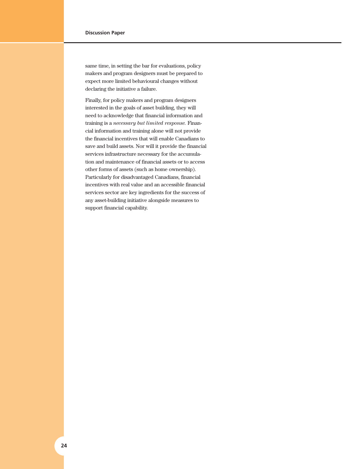same time, in setting the bar for evaluations, policy makers and program designers must be prepared to expect more limited behavioural changes without declaring the initiative a failure.

Finally, for policy makers and program designers interested in the goals of asset building, they will need to acknowledge that financial information and training is a *necessary but limited response.* Financial information and training alone will not provide the financial incentives that will enable Canadians to save and build assets. Nor will it provide the financial services infrastructure necessary for the accumulation and maintenance of financial assets or to access other forms of assets (such as home ownership). Particularly for disadvantaged Canadians, financial incentives with real value and an accessible financial services sector are key ingredients for the success of any asset-building initiative alongside measures to support financial capability.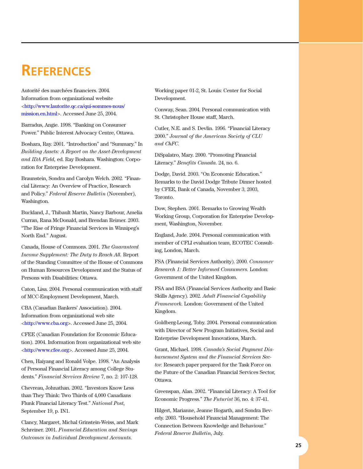## <span id="page-24-0"></span>**REFERENCES**

Autorité des marchées financiers. 2004. Information from organizational website <http://www.lautorite.qc.ca/qui-sommes-nous/ mission.en.html>. Accessed June 25, 2004.

Barradus, Angie. 1998. "Banking on Consumer Power." Public Interest Advocacy Centre, Ottawa.

Boshara, Ray. 2001. "Introduction" and "Summary." In *Building Assets: A Report on the Asset-Development and IDA Field,* ed. Ray Boshara. Washington: Corporation for Enterprise Development.

Braunstein, Sondra and Carolyn Welch. 2002. "Financial Literacy: An Overview of Practice, Research and Policy." *Federal Reserve Bulletin* (November), Washington.

Buckland, J., Thibault Martin, Nancy Barbour, Amelia Curran, Rana McDonald, and Brendan Reimer. 2003. "The Rise of Fringe Financial Services in Winnipeg's North End." August.

Canada, House of Commons. 2001. *The Guaranteed Income Supplement: The Duty to Reach All.* Report of the Standing Committee of the House of Commons on Human Resources Development and the Status of Persons with Disabilities: Ottawa.

Caton, Lisa. 2004. Personal communication with staff of MCC-Employment Development, March.

CBA (Canadian Bankers' Association). 2004. Information from organizational web site <http://www.cba.org>. Accessed June 25, 2004.

CFEE (Canadian Foundation for Economic Education). 2004. Information from organizational web site <http://www.cfee.org>. Accessed June 25, 2004.

Chen, Haiyang and Ronald Volpe. 1998. "An Analysis of Personal Financial Literacy among College Students." *Financial Services Review* 7, no. 2: 107-128.

Chevreau, Johnathan. 2002. "Investors Know Less than They Think: Two Thirds of 4,000 Canadians Flunk Financial Literacy Test." *National Post,* September 19, p. IN1.

Clancy, Margaret, Michal Grinstein-Weiss, and Mark Schreiner. 2001. *Financial Education and Savings Outcomes in Individual Development Accounts.*

Working paper 01-2, St. Louis: Center for Social Development.

Conway, Sean. 2004. Personal communication with St. Christopher House staff, March.

Cutler, N.E. and S. Devlin. 1996. "Financial Literacy 2000." *Journal of the American Society of CLU and ChFC.*

DiSpalatro, Mary. 2000. "Promoting Financial Literacy." *Benefits Canada.* 24, no. 6.

Dodge, David. 2003. "On Economic Education." Remarks to the David Dodge Tribute Dinner hosted by CFEE, Bank of Canada, November 3, 2003, Toronto.

Dow, Stephen. 2001. Remarks to Growing Wealth Working Group, Corporation for Enterprise Development, Washington, November.

England, Jude. 2004. Personal communication with member of CFLI evaluation team, ECOTEC Consulting, London, March.

FSA (Financial Services Authority). 2000. *Consumer Research 1: Better Informed Consumers.* London: Government of the United Kingdom.

FSA and BSA (Financial Services Authority and Basic Skills Agency). 2002. *Adult Financial Capability Framework.* London: Government of the United Kingdom.

Goldberg-Leong, Toby. 2004. Personal communication with Director of New Program Initiatives, Social and Enterprise Development Innovations, March.

Grant, Michael. 1998. *Canada's Social Payment Disbursement System and the Financial Services Sector.* Research paper prepared for the Task Force on the Future of the Canadian Financial Services Sector, Ottawa.

Greenspan, Alan. 2002. "Financial Literacy: A Tool for Economic Progress." *The Futurist* 36, no. 4: 37-41.

Hilgert, Marianne, Jeanne Hogarth, and Sondra Beverly. 2003. "Household Financial Management: The Connection Between Knowledge and Behaviour." *Federal Reserve Bulletin,* July.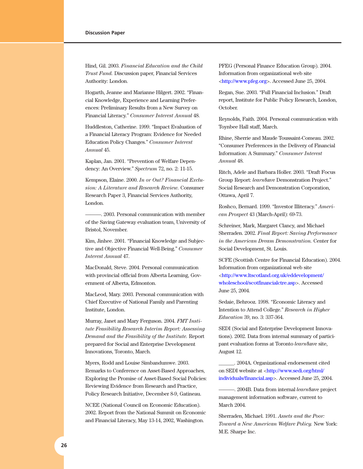Hind, Gil. 2003. *Financial Education and the Child Trust Fund.* Discussion paper, Financial Services Authority: London.

Hogarth, Jeanne and Marianne Hilgert. 2002. "Financial Knowledge, Experience and Learning Preferences: Preliminary Results from a New Survey on Financial Literacy." *Consumer Interest Annual* 48.

Huddleston, Catherine. 1999. "Impact Evaluation of a Financial Literacy Program: Evidence for Needed Education Policy Changes." *Consumer Interest Annual* 45.

Kaplan, Jan. 2001. "Prevention of Welfare Dependency: An Overview." *Spectrum* 72, no. 2: 11-15.

Kempson, Elaine. 2000. *In or Out? Financial Exclusion: A Literature and Research Review.* Consumer Research Paper 3, Financial Services Authority, London.

———. 2003. Personal communication with member of the Saving Gateway evaluation team, University of Bristol, November.

Kim, Jinhee. 2001. "Financial Knowledge and Subjective and Objective Financial Well-Being." *Consumer Interest Annual* 47.

MacDonald, Steve. 2004. Personal communication with provincial official from Alberta Learning, Government of Alberta, Edmonton.

MacLeod, Mary. 2003. Personal communication with Chief Executive of National Family and Parenting Institute, London.

Murray, Janet and Mary Ferguson. 2004. *FMT Institute Feasibility Research Interim Report: Assessing Demand and the Feasibility of the Institute.* Report prepared for Social and Enterprise Development Innovations, Toronto, March.

Myers, Rodd and Louise Simbandumwe. 2003. Remarks to Conference on Asset-Based Approaches, Exploring the Promise of Asset-Based Social Policies: Reviewing Evidence from Research and Practice, Policy Research Initiative, December 8-9, Gatineau.

NCEE (National Council on Economic Education). 2002. Report from the National Summit on Economic and Financial Literacy, May 13-14, 2002, Washington.

PFEG (Personal Finance Education Group). 2004. Information from organizational web site <http://www.pfeg.org>. Accessed June 25, 2004.

Regan, Sue. 2003. "Full Financial Inclusion." Draft report, Institute for Public Policy Research, London, October.

Reynolds, Faith. 2004. Personal communication with Toynbee Hall staff, March.

Rhine, Sherrie and Maude Toussaint-Comeau. 2002. "Consumer Preferences in the Delivery of Financial Information: A Summary." *Consumer Interest Annual* 48.

Ritch, Adele and Barbara Holler. 2003. "Draft Focus Group Report: *learn*\$ave Demonstration Project." Social Research and Demonstration Corporation, Ottawa, April 7.

Roshco, Bernard. 1999. "Investor Illiteracy." *American Prospect* 43 (March-April): 69-73.

Schreiner, Mark, Margaret Clancy, and Michael Sherraden. 2002. *Final Report: Saving Performance in the American Dream Demonstration.* Center for Social Development, St. Louis.

SCFE (Scottish Centre for Financial Education). 2004. Information from organizational web site <http://www.ltscotland.org.uk/eddevelopment/ wholeschool/scotfinancialctre.asp>. Accessed June 25, 2004.

Sedaie, Behrooz. 1998. "Economic Literacy and Intention to Attend College." *Research in Higher Education* 39, no. 3: 337-364.

SEDI (Social and Enterprise Development Innovations). 2002. Data from internal summary of participant evaluation forms at Toronto *learn*\$ave site, August 12.

\_\_\_\_\_\_. 2004A. Organizational endorsement cited on SEDI website at <http://www.sedi.org/html/ individuals/financial.asp>. Accessed June 25, 2004.

———. 2004B. Data from internal *learn*\$ave project management information software, current to March 2004.

Sherraden, Michael. 1991. *Assets and the Poor: Toward a New American Welfare Policy.* New York: M.E. Sharpe Inc.